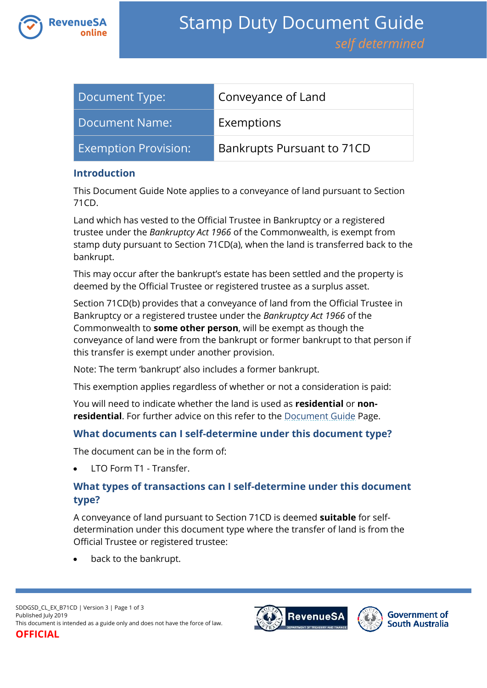

| Document Type:              | Conveyance of Land         |
|-----------------------------|----------------------------|
| Document Name:              | Exemptions                 |
| <b>Exemption Provision:</b> | Bankrupts Pursuant to 71CD |

#### **Introduction**

This Document Guide Note applies to a conveyance of land pursuant to Section 71CD.

Land which has vested to the Official Trustee in Bankruptcy or a registered trustee under the *Bankruptcy Act 1966* of the Commonwealth, is exempt from stamp duty pursuant to Section 71CD(a), when the land is transferred back to the bankrupt.

This may occur after the bankrupt's estate has been settled and the property is deemed by the Official Trustee or registered trustee as a surplus asset.

Section 71CD(b) provides that a conveyance of land from the Official Trustee in Bankruptcy or a registered trustee under the *Bankruptcy Act 1966* of the Commonwealth to **some other person**, will be exempt as though the conveyance of land were from the bankrupt or former bankrupt to that person if this transfer is exempt under another provision.

Note: The term 'bankrupt' also includes a former bankrupt.

This exemption applies regardless of whether or not a consideration is paid:

You will need to indicate whether the land is used as **residential** or **nonresidential**. For further advice on this refer to the [Document Guide](https://www.revenuesa.sa.gov.au/stampduty/stamp-duty-document-guide#Glossary) Page.

#### **What documents can I self-determine under this document type?**

The document can be in the form of:

LTO Form T1 - Transfer.

# **What types of transactions can I self-determine under this document type?**

A conveyance of land pursuant to Section 71CD is deemed **suitable** for selfdetermination under this document type where the transfer of land is from the Official Trustee or registered trustee:

back to the bankrupt.



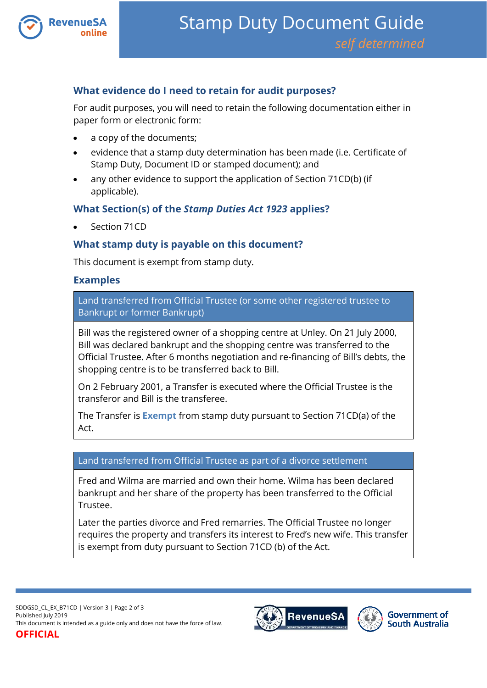

## **What evidence do I need to retain for audit purposes?**

For audit purposes, you will need to retain the following documentation either in paper form or electronic form:

- a copy of the documents;
- evidence that a stamp duty determination has been made (i.e. Certificate of Stamp Duty, Document ID or stamped document); and
- any other evidence to support the application of Section 71CD(b) (if applicable).

## **What Section(s) of the** *Stamp Duties Act 1923* **applies?**

Section 71CD

## **What stamp duty is payable on this document?**

This document is exempt from stamp duty.

#### **Examples**

Land transferred from Official Trustee (or some other registered trustee to Bankrupt or former Bankrupt)

Bill was the registered owner of a shopping centre at Unley. On 21 July 2000, Bill was declared bankrupt and the shopping centre was transferred to the Official Trustee. After 6 months negotiation and re-financing of Bill's debts, the shopping centre is to be transferred back to Bill.

On 2 February 2001, a Transfer is executed where the Official Trustee is the transferor and Bill is the transferee.

The Transfer is **Exempt** from stamp duty pursuant to Section 71CD(a) of the Act.

#### Land transferred from Official Trustee as part of a divorce settlement

Fred and Wilma are married and own their home. Wilma has been declared bankrupt and her share of the property has been transferred to the Official Trustee.

Later the parties divorce and Fred remarries. The Official Trustee no longer requires the property and transfers its interest to Fred's new wife. This transfer is exempt from duty pursuant to Section 71CD (b) of the Act.